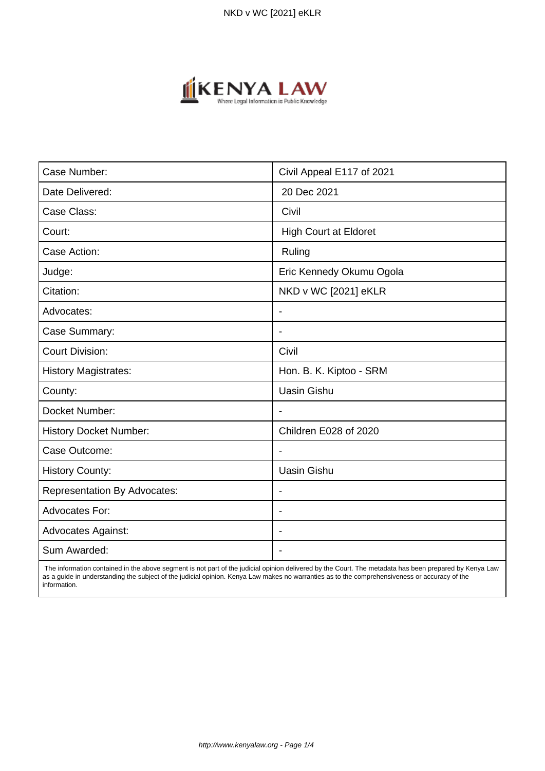

| Case Number:                        | Civil Appeal E117 of 2021    |
|-------------------------------------|------------------------------|
| Date Delivered:                     | 20 Dec 2021                  |
| Case Class:                         | Civil                        |
| Court:                              | <b>High Court at Eldoret</b> |
| Case Action:                        | Ruling                       |
| Judge:                              | Eric Kennedy Okumu Ogola     |
| Citation:                           | NKD v WC [2021] eKLR         |
| Advocates:                          | $\overline{\phantom{a}}$     |
| Case Summary:                       | $\blacksquare$               |
| <b>Court Division:</b>              | Civil                        |
| <b>History Magistrates:</b>         | Hon. B. K. Kiptoo - SRM      |
| County:                             | <b>Uasin Gishu</b>           |
| Docket Number:                      |                              |
| <b>History Docket Number:</b>       | Children E028 of 2020        |
| Case Outcome:                       | $\overline{\phantom{a}}$     |
| <b>History County:</b>              | <b>Uasin Gishu</b>           |
| <b>Representation By Advocates:</b> | $\overline{\phantom{a}}$     |
| <b>Advocates For:</b>               | $\blacksquare$               |
| <b>Advocates Against:</b>           |                              |
| Sum Awarded:                        |                              |

 The information contained in the above segment is not part of the judicial opinion delivered by the Court. The metadata has been prepared by Kenya Law as a guide in understanding the subject of the judicial opinion. Kenya Law makes no warranties as to the comprehensiveness or accuracy of the information.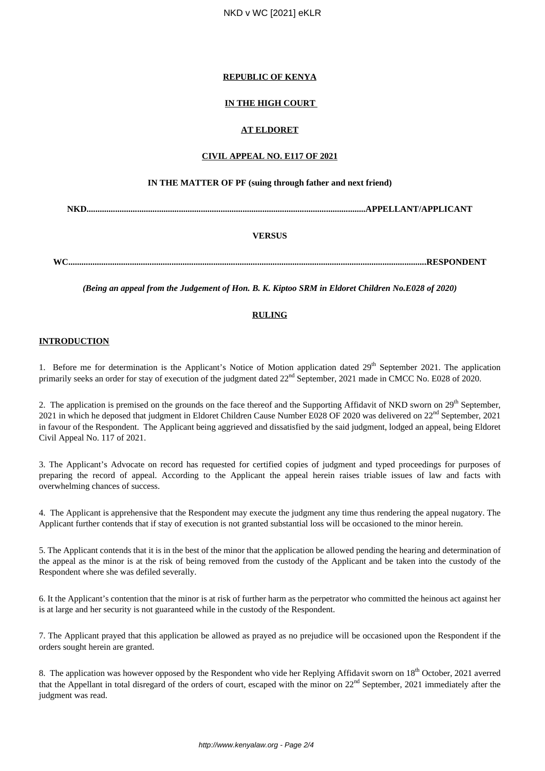# **REPUBLIC OF KENYA**

# **IN THE HIGH COURT**

# **AT ELDORET**

#### **CIVIL APPEAL NO. E117 OF 2021**

### **IN THE MATTER OF PF (suing through father and next friend)**

**NKD...............................................................................................................................APPELLANT/APPLICANT**

# **VERSUS**

**WC...................................................................................................................................................................RESPONDENT**

*(Being an appeal from the Judgement of Hon. B. K. Kiptoo SRM in Eldoret Children No.E028 of 2020)*

### **RULING**

#### **INTRODUCTION**

1. Before me for determination is the Applicant's Notice of Motion application dated 29<sup>th</sup> September 2021. The application primarily seeks an order for stay of execution of the judgment dated  $22<sup>nd</sup>$  September, 2021 made in CMCC No. E028 of 2020.

2. The application is premised on the grounds on the face thereof and the Supporting Affidavit of NKD sworn on 29<sup>th</sup> September, 2021 in which he deposed that judgment in Eldoret Children Cause Number E028 OF 2020 was delivered on 22<sup>nd</sup> September, 2021 in favour of the Respondent. The Applicant being aggrieved and dissatisfied by the said judgment, lodged an appeal, being Eldoret Civil Appeal No. 117 of 2021.

3. The Applicant's Advocate on record has requested for certified copies of judgment and typed proceedings for purposes of preparing the record of appeal. According to the Applicant the appeal herein raises triable issues of law and facts with overwhelming chances of success.

4. The Applicant is apprehensive that the Respondent may execute the judgment any time thus rendering the appeal nugatory. The Applicant further contends that if stay of execution is not granted substantial loss will be occasioned to the minor herein.

5. The Applicant contends that it is in the best of the minor that the application be allowed pending the hearing and determination of the appeal as the minor is at the risk of being removed from the custody of the Applicant and be taken into the custody of the Respondent where she was defiled severally.

6. It the Applicant's contention that the minor is at risk of further harm as the perpetrator who committed the heinous act against her is at large and her security is not guaranteed while in the custody of the Respondent.

7. The Applicant prayed that this application be allowed as prayed as no prejudice will be occasioned upon the Respondent if the orders sought herein are granted.

8. The application was however opposed by the Respondent who vide her Replying Affidavit sworn on  $18<sup>th</sup>$  October, 2021 averred that the Appellant in total disregard of the orders of court, escaped with the minor on  $22<sup>nd</sup>$  September, 2021 immediately after the judgment was read.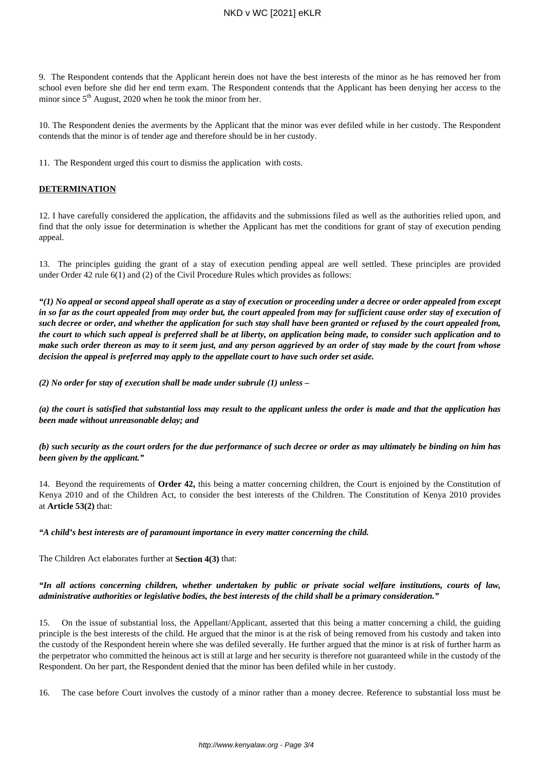### NKD v WC [2021] eKLR

9. The Respondent contends that the Applicant herein does not have the best interests of the minor as he has removed her from school even before she did her end term exam. The Respondent contends that the Applicant has been denying her access to the minor since  $5<sup>th</sup>$  August, 2020 when he took the minor from her.

10. The Respondent denies the averments by the Applicant that the minor was ever defiled while in her custody. The Respondent contends that the minor is of tender age and therefore should be in her custody.

11. The Respondent urged this court to dismiss the application with costs.

#### **DETERMINATION**

12. I have carefully considered the application, the affidavits and the submissions filed as well as the authorities relied upon, and find that the only issue for determination is whether the Applicant has met the conditions for grant of stay of execution pending appeal.

13. The principles guiding the grant of a stay of execution pending appeal are well settled. These principles are provided under Order 42 rule 6(1) and (2) of the Civil Procedure Rules which provides as follows:

*"(1) No appeal or second appeal shall operate as a stay of execution or proceeding under a decree or order appealed from except in so far as the court appealed from may order but, the court appealed from may for sufficient cause order stay of execution of such decree or order, and whether the application for such stay shall have been granted or refused by the court appealed from, the court to which such appeal is preferred shall be at liberty, on application being made, to consider such application and to make such order thereon as may to it seem just, and any person aggrieved by an order of stay made by the court from whose decision the appeal is preferred may apply to the appellate court to have such order set aside.*

*(2) No order for stay of execution shall be made under subrule (1) unless –*

*(a) the court is satisfied that substantial loss may result to the applicant unless the order is made and that the application has been made without unreasonable delay; and*

*(b) such security as the court orders for the due performance of such decree or order as may ultimately be binding on him has been given by the applicant."*

14. Beyond the requirements of **Order 42,** this being a matter concerning children, the Court is enjoined by the Constitution of Kenya 2010 and of the Children Act, to consider the best interests of the Children. The Constitution of Kenya 2010 provides at **Article 53(2)** that:

#### *"A child's best interests are of paramount importance in every matter concerning the child.*

The Children Act elaborates further at **Section 4(3)** that:

#### *"In all actions concerning children, whether undertaken by public or private social welfare institutions, courts of law, administrative authorities or legislative bodies, the best interests of the child shall be a primary consideration."*

15. On the issue of substantial loss, the Appellant/Applicant, asserted that this being a matter concerning a child, the guiding principle is the best interests of the child. He argued that the minor is at the risk of being removed from his custody and taken into the custody of the Respondent herein where she was defiled severally. He further argued that the minor is at risk of further harm as the perpetrator who committed the heinous act is still at large and her security is therefore not guaranteed while in the custody of the Respondent. On her part, the Respondent denied that the minor has been defiled while in her custody.

16. The case before Court involves the custody of a minor rather than a money decree. Reference to substantial loss must be